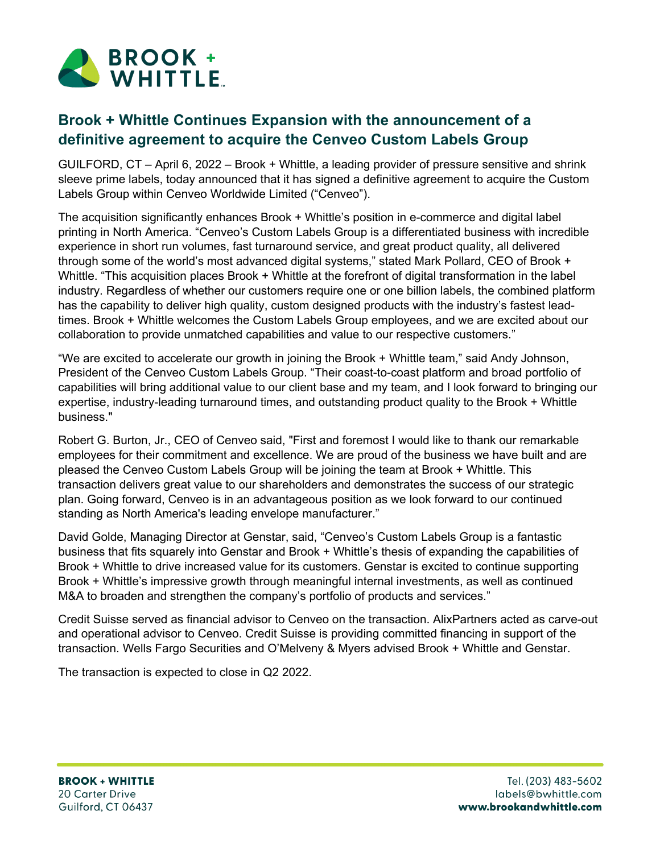

## **Brook + Whittle Continues Expansion with the announcement of a definitive agreement to acquire the Cenveo Custom Labels Group**

GUILFORD, CT – April 6, 2022 – Brook + Whittle, a leading provider of pressure sensitive and shrink sleeve prime labels, today announced that it has signed a definitive agreement to acquire the Custom Labels Group within Cenveo Worldwide Limited ("Cenveo").

The acquisition significantly enhances Brook + Whittle's position in e-commerce and digital label printing in North America. "Cenveo's Custom Labels Group is a differentiated business with incredible experience in short run volumes, fast turnaround service, and great product quality, all delivered through some of the world's most advanced digital systems," stated Mark Pollard, CEO of Brook + Whittle. "This acquisition places Brook + Whittle at the forefront of digital transformation in the label industry. Regardless of whether our customers require one or one billion labels, the combined platform has the capability to deliver high quality, custom designed products with the industry's fastest leadtimes. Brook + Whittle welcomes the Custom Labels Group employees, and we are excited about our collaboration to provide unmatched capabilities and value to our respective customers."

"We are excited to accelerate our growth in joining the Brook + Whittle team," said Andy Johnson, President of the Cenveo Custom Labels Group. "Their coast-to-coast platform and broad portfolio of capabilities will bring additional value to our client base and my team, and I look forward to bringing our expertise, industry-leading turnaround times, and outstanding product quality to the Brook + Whittle business."

Robert G. Burton, Jr., CEO of Cenveo said, "First and foremost I would like to thank our remarkable employees for their commitment and excellence. We are proud of the business we have built and are pleased the Cenveo Custom Labels Group will be joining the team at Brook + Whittle. This transaction delivers great value to our shareholders and demonstrates the success of our strategic plan. Going forward, Cenveo is in an advantageous position as we look forward to our continued standing as North America's leading envelope manufacturer."

David Golde, Managing Director at Genstar, said, "Cenveo's Custom Labels Group is a fantastic business that fits squarely into Genstar and Brook + Whittle's thesis of expanding the capabilities of Brook + Whittle to drive increased value for its customers. Genstar is excited to continue supporting Brook + Whittle's impressive growth through meaningful internal investments, as well as continued M&A to broaden and strengthen the company's portfolio of products and services."

Credit Suisse served as financial advisor to Cenveo on the transaction. AlixPartners acted as carve-out and operational advisor to Cenveo. Credit Suisse is providing committed financing in support of the transaction. Wells Fargo Securities and O'Melveny & Myers advised Brook + Whittle and Genstar.

The transaction is expected to close in Q2 2022.